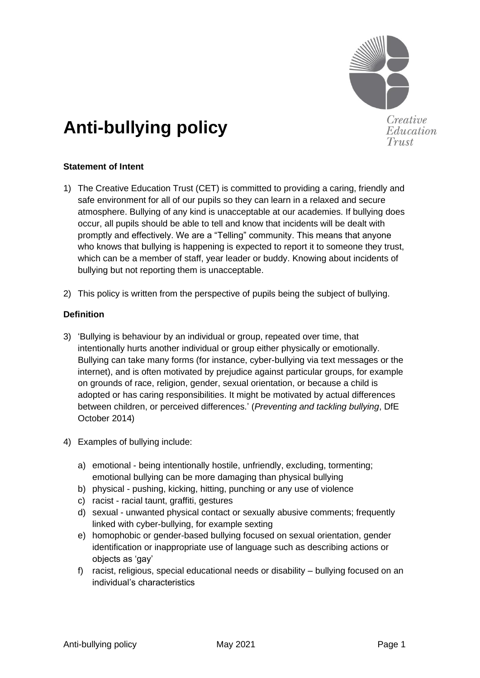

Creative Education Trust

# **Anti-bullying policy**

## **Statement of Intent**

- 1) The Creative Education Trust (CET) is committed to providing a caring, friendly and safe environment for all of our pupils so they can learn in a relaxed and secure atmosphere. Bullying of any kind is unacceptable at our academies. If bullying does occur, all pupils should be able to tell and know that incidents will be dealt with promptly and effectively. We are a "Telling" community. This means that anyone who knows that bullying is happening is expected to report it to someone they trust, which can be a member of staff, year leader or buddy. Knowing about incidents of bullying but not reporting them is unacceptable.
- 2) This policy is written from the perspective of pupils being the subject of bullying.

## **Definition**

- 3) 'Bullying is behaviour by an individual or group, repeated over time, that intentionally hurts another individual or group either physically or emotionally. Bullying can take many forms (for instance, cyber-bullying via text messages or the internet), and is often motivated by prejudice against particular groups, for example on grounds of race, religion, gender, sexual orientation, or because a child is adopted or has caring responsibilities. It might be motivated by actual differences between children, or perceived differences.' (*Preventing and tackling bullying*, DfE October 2014)
- 4) Examples of bullying include:
	- a) emotional being intentionally hostile, unfriendly, excluding, tormenting; emotional bullying can be more damaging than physical bullying
	- b) physical pushing, kicking, hitting, punching or any use of violence
	- c) racist racial taunt, graffiti, gestures
	- d) sexual unwanted physical contact or sexually abusive comments; frequently linked with cyber-bullying, for example sexting
	- e) homophobic or gender-based bullying focused on sexual orientation, gender identification or inappropriate use of language such as describing actions or objects as 'gay'
	- f) racist, religious, special educational needs or disability bullying focused on an individual's characteristics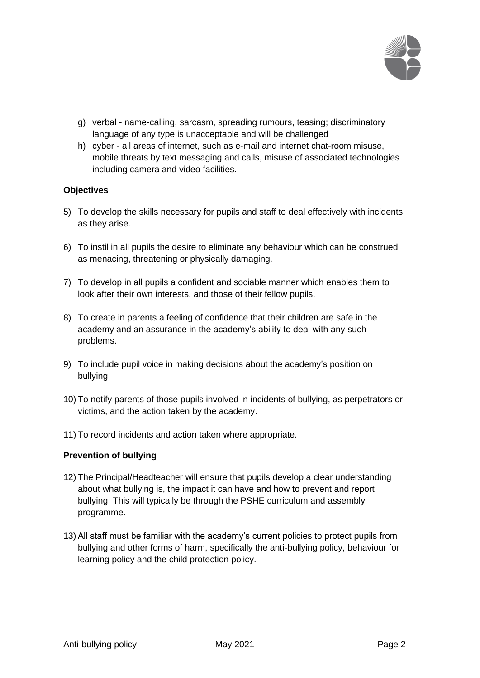

- g) verbal name-calling, sarcasm, spreading rumours, teasing; discriminatory language of any type is unacceptable and will be challenged
- h) cyber all areas of internet, such as e-mail and internet chat-room misuse, mobile threats by text messaging and calls, misuse of associated technologies including camera and video facilities.

## **Objectives**

- 5) To develop the skills necessary for pupils and staff to deal effectively with incidents as they arise.
- 6) To instil in all pupils the desire to eliminate any behaviour which can be construed as menacing, threatening or physically damaging.
- 7) To develop in all pupils a confident and sociable manner which enables them to look after their own interests, and those of their fellow pupils.
- 8) To create in parents a feeling of confidence that their children are safe in the academy and an assurance in the academy's ability to deal with any such problems.
- 9) To include pupil voice in making decisions about the academy's position on bullying.
- 10) To notify parents of those pupils involved in incidents of bullying, as perpetrators or victims, and the action taken by the academy.
- 11) To record incidents and action taken where appropriate.

#### **Prevention of bullying**

- 12) The Principal/Headteacher will ensure that pupils develop a clear understanding about what bullying is, the impact it can have and how to prevent and report bullying. This will typically be through the PSHE curriculum and assembly programme.
- 13) All staff must be familiar with the academy's current policies to protect pupils from bullying and other forms of harm, specifically the anti-bullying policy, behaviour for learning policy and the child protection policy.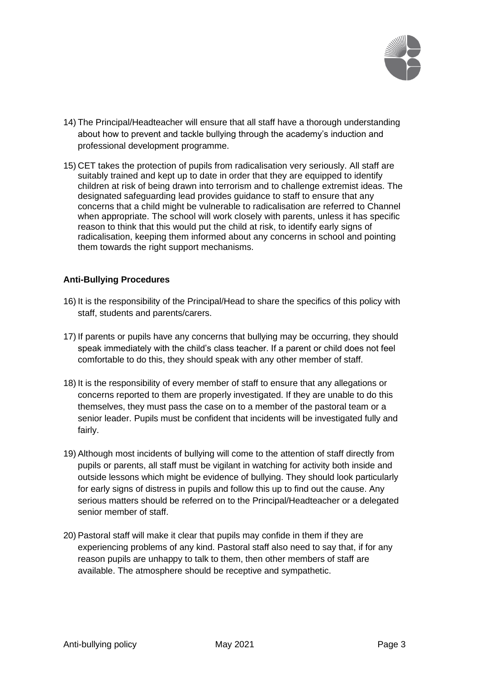

- 14) The Principal/Headteacher will ensure that all staff have a thorough understanding about how to prevent and tackle bullying through the academy's induction and professional development programme.
- 15) CET takes the protection of pupils from radicalisation very seriously. All staff are suitably trained and kept up to date in order that they are equipped to identify children at risk of being drawn into terrorism and to challenge extremist ideas. The designated safeguarding lead provides guidance to staff to ensure that any concerns that a child might be vulnerable to radicalisation are referred to Channel when appropriate. The school will work closely with parents, unless it has specific reason to think that this would put the child at risk, to identify early signs of radicalisation, keeping them informed about any concerns in school and pointing them towards the right support mechanisms.

#### **Anti-Bullying Procedures**

- 16) It is the responsibility of the Principal/Head to share the specifics of this policy with staff, students and parents/carers.
- 17) If parents or pupils have any concerns that bullying may be occurring, they should speak immediately with the child's class teacher. If a parent or child does not feel comfortable to do this, they should speak with any other member of staff.
- 18) It is the responsibility of every member of staff to ensure that any allegations or concerns reported to them are properly investigated. If they are unable to do this themselves, they must pass the case on to a member of the pastoral team or a senior leader. Pupils must be confident that incidents will be investigated fully and fairly.
- 19) Although most incidents of bullying will come to the attention of staff directly from pupils or parents, all staff must be vigilant in watching for activity both inside and outside lessons which might be evidence of bullying. They should look particularly for early signs of distress in pupils and follow this up to find out the cause. Any serious matters should be referred on to the Principal/Headteacher or a delegated senior member of staff.
- 20) Pastoral staff will make it clear that pupils may confide in them if they are experiencing problems of any kind. Pastoral staff also need to say that, if for any reason pupils are unhappy to talk to them, then other members of staff are available. The atmosphere should be receptive and sympathetic.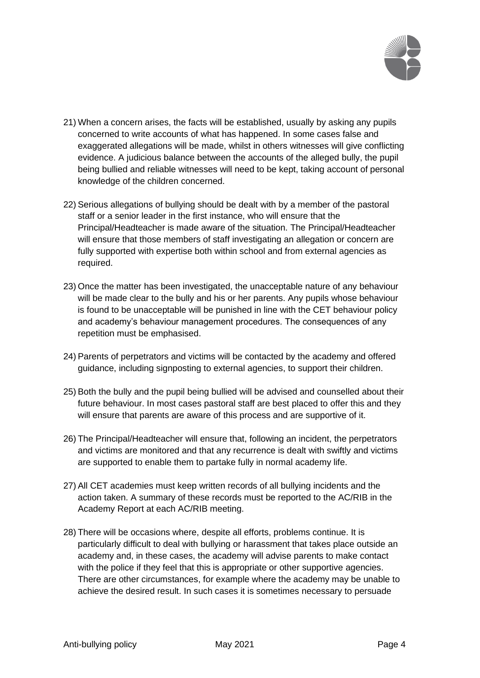

- 21) When a concern arises, the facts will be established, usually by asking any pupils concerned to write accounts of what has happened. In some cases false and exaggerated allegations will be made, whilst in others witnesses will give conflicting evidence. A judicious balance between the accounts of the alleged bully, the pupil being bullied and reliable witnesses will need to be kept, taking account of personal knowledge of the children concerned.
- 22) Serious allegations of bullying should be dealt with by a member of the pastoral staff or a senior leader in the first instance, who will ensure that the Principal/Headteacher is made aware of the situation. The Principal/Headteacher will ensure that those members of staff investigating an allegation or concern are fully supported with expertise both within school and from external agencies as required.
- 23) Once the matter has been investigated, the unacceptable nature of any behaviour will be made clear to the bully and his or her parents. Any pupils whose behaviour is found to be unacceptable will be punished in line with the CET behaviour policy and academy's behaviour management procedures. The consequences of any repetition must be emphasised.
- 24) Parents of perpetrators and victims will be contacted by the academy and offered guidance, including signposting to external agencies, to support their children.
- 25) Both the bully and the pupil being bullied will be advised and counselled about their future behaviour. In most cases pastoral staff are best placed to offer this and they will ensure that parents are aware of this process and are supportive of it.
- 26) The Principal/Headteacher will ensure that, following an incident, the perpetrators and victims are monitored and that any recurrence is dealt with swiftly and victims are supported to enable them to partake fully in normal academy life.
- 27) All CET academies must keep written records of all bullying incidents and the action taken. A summary of these records must be reported to the AC/RIB in the Academy Report at each AC/RIB meeting.
- 28) There will be occasions where, despite all efforts, problems continue. It is particularly difficult to deal with bullying or harassment that takes place outside an academy and, in these cases, the academy will advise parents to make contact with the police if they feel that this is appropriate or other supportive agencies. There are other circumstances, for example where the academy may be unable to achieve the desired result. In such cases it is sometimes necessary to persuade